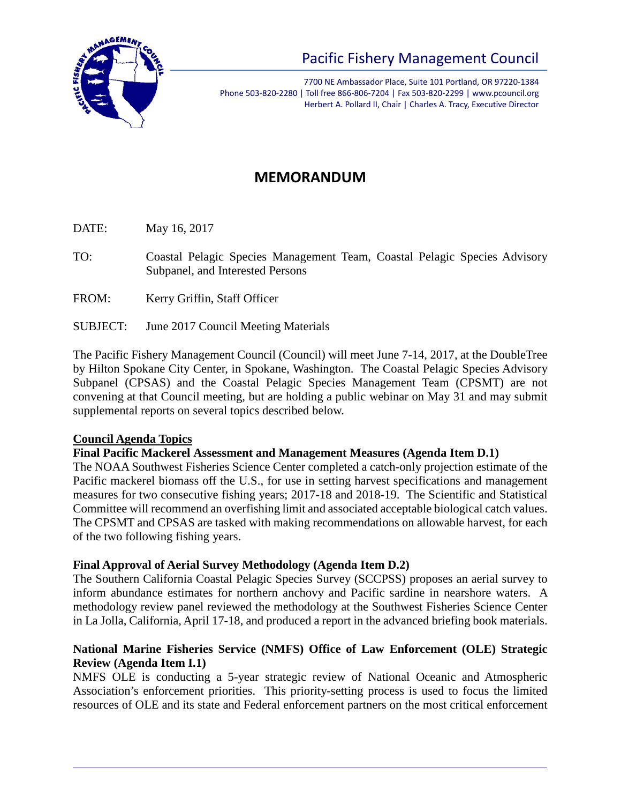

# Pacific Fishery Management Council

7700 NE Ambassador Place, Suite 101 Portland, OR 97220-1384 Phone 503-820-2280 | Toll free 866-806-7204 | Fax 503-820-2299 | www.pcouncil.org Herbert A. Pollard II, Chair | Charles A. Tracy, Executive Director

# **MEMORANDUM**

DATE: May 16, 2017

- TO: Coastal Pelagic Species Management Team, Coastal Pelagic Species Advisory Subpanel, and Interested Persons
- FROM: Kerry Griffin, Staff Officer
- SUBJECT: June 2017 Council Meeting Materials

The Pacific Fishery Management Council (Council) will meet June 7-14, 2017, at the DoubleTree by Hilton Spokane City Center, in Spokane, Washington. The Coastal Pelagic Species Advisory Subpanel (CPSAS) and the Coastal Pelagic Species Management Team (CPSMT) are not convening at that Council meeting, but are holding a public webinar on May 31 and may submit supplemental reports on several topics described below.

#### **Council Agenda Topics**

#### **Final Pacific Mackerel Assessment and Management Measures (Agenda Item D.1)**

The NOAA Southwest Fisheries Science Center completed a catch-only projection estimate of the Pacific mackerel biomass off the U.S., for use in setting harvest specifications and management measures for two consecutive fishing years; 2017-18 and 2018-19. The Scientific and Statistical Committee will recommend an overfishing limit and associated acceptable biological catch values. The CPSMT and CPSAS are tasked with making recommendations on allowable harvest, for each of the two following fishing years.

#### **Final Approval of Aerial Survey Methodology (Agenda Item D.2)**

The Southern California Coastal Pelagic Species Survey (SCCPSS) proposes an aerial survey to inform abundance estimates for northern anchovy and Pacific sardine in nearshore waters. A methodology review panel reviewed the methodology at the Southwest Fisheries Science Center in La Jolla, California, April 17-18, and produced a report in the advanced briefing book materials.

#### **National Marine Fisheries Service (NMFS) Office of Law Enforcement (OLE) Strategic Review (Agenda Item I.1)**

NMFS OLE is conducting a 5-year strategic review of National Oceanic and Atmospheric Association's enforcement priorities. This priority-setting process is used to focus the limited resources of OLE and its state and Federal enforcement partners on the most critical enforcement